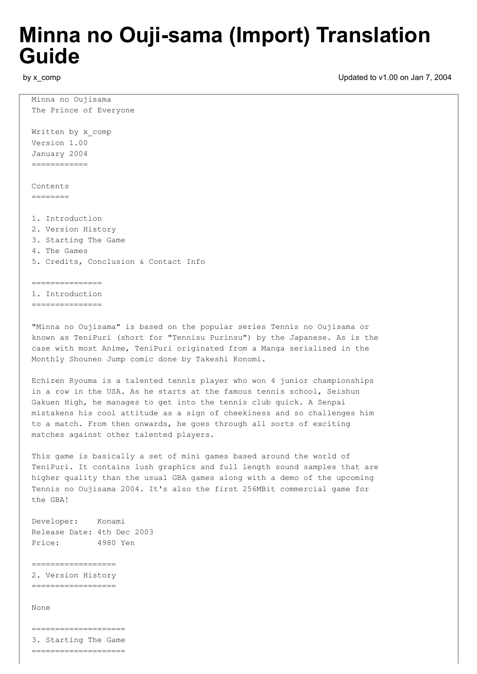## **Minna no Ouji-sama (Import) Translation Guide**

by x\_comp

Updated to v1.00 on Jan 7, 2004

Minna no Oujisama The Prince of Everyone Written by x comp Version 1.00 January 2004 ============ Contents  $=$ 1. Introduction 2. Version History 3. Starting The Game 4. The Games 5. Credits, Conclusion & Contact Info ===============

1. Introduction ===============

"Minna no Oujisama" is based on the popular series Tennis no Oujisama or known as TeniPuri (short for "Tennisu Purinsu") by the Japanese. As is the case with most Anime, TeniPuri originated from a Manga serialised in the Monthly Shounen Jump comic done by Takeshi Konomi.

Echizen Ryouma is a talented tennis player who won 4 junior championships in a row in the USA. As he starts at the famous tennis school, Seishun Gakuen High, he manages to get into the tennis club quick. A Senpai mistakens his cool attitude as a sign of cheekiness and so challenges him to a match. From then onwards, he goes through all sorts of exciting matches against other talented players.

This game is basically a set of mini games based around the world of TeniPuri. It contains lush graphics and full length sound samples that are higher quality than the usual GBA games along with a demo of the upcoming Tennis no Oujisama 2004. It's also the first 256MBit commercial game for the GBA!

Developer: Konami Release Date: 4th Dec 2003 Price: 4980 Yen

================== 2. Version History ==================

None

==================== 3. Starting The Game ====================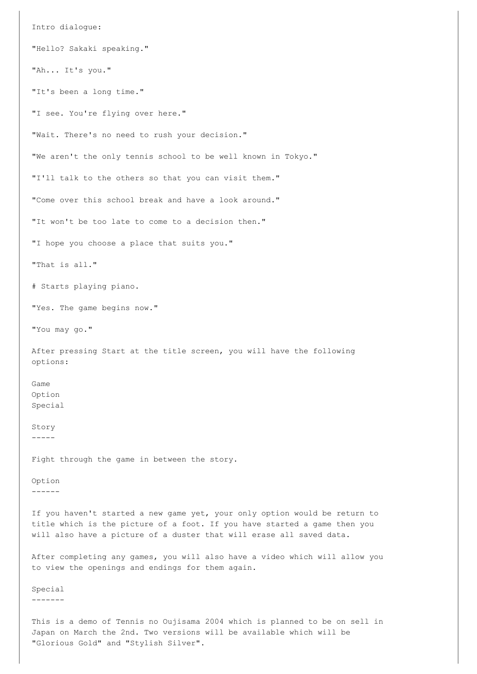Intro dialogue: "Hello? Sakaki speaking." "Ah... It's you." "It's been a long time." "I see. You're flying over here." "Wait. There's no need to rush your decision." "We aren't the only tennis school to be well known in Tokyo." "I'll talk to the others so that you can visit them." "Come over this school break and have a look around." "It won't be too late to come to a decision then." "I hope you choose a place that suits you." "That is all." # Starts playing piano. "Yes. The game begins now." "You may go." After pressing Start at the title screen, you will have the following options: Game Option Special Story ----- Fight through the game in between the story. Option ------ If you haven't started a new game yet, your only option would be return to title which is the picture of a foot. If you have started a game then you will also have a picture of a duster that will erase all saved data. After completing any games, you will also have a video which will allow you to view the openings and endings for them again. Special

This is a demo of Tennis no Oujisama 2004 which is planned to be on sell in Japan on March the 2nd. Two versions will be available which will be "Glorious Gold" and "Stylish Silver".

-------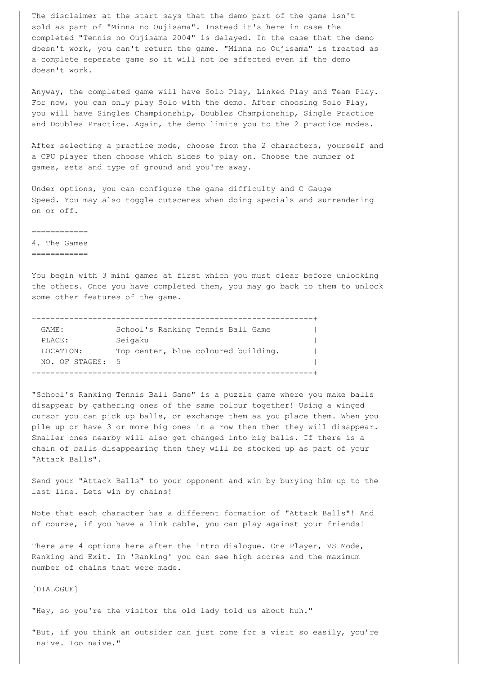The disclaimer at the start says that the demo part of the game isn't sold as part of "Minna no Oujisama". Instead it's here in case the completed "Tennis no Oujisama 2004" is delayed. In the case that the demo doesn't work, you can't return the game. "Minna no Oujisama" is treated as a complete seperate game so it will not be affected even if the demo doesn't work.

Anyway, the completed game will have Solo Play, Linked Play and Team Play. For now, you can only play Solo with the demo. After choosing Solo Play, you will have Singles Championship, Doubles Championship, Single Practice and Doubles Practice. Again, the demo limits you to the 2 practice modes.

After selecting a practice mode, choose from the 2 characters, yourself and a CPU player then choose which sides to play on. Choose the number of games, sets and type of ground and you're away.

Under options, you can configure the game difficulty and C Gauge Speed. You may also toggle cutscenes when doing specials and surrendering on or off.

============

4. The Games

============

You begin with 3 mini games at first which you must clear before unlocking the others. Once you have completed them, you may go back to them to unlock some other features of the game.

| I GAME:            | School's Ranking Tennis Ball Game   |
|--------------------|-------------------------------------|
| PLACE:             | Seigaku                             |
| LOCATION:          | Top center, blue coloured building. |
| I NO. OF STAGES: 5 |                                     |
|                    |                                     |

"School's Ranking Tennis Ball Game" is a puzzle game where you make balls disappear by gathering ones of the same colour together! Using a winged cursor you can pick up balls, or exchange them as you place them. When you pile up or have 3 or more big ones in a row then then they will disappear. Smaller ones nearby will also get changed into big balls. If there is a chain of balls disappearing then they will be stocked up as part of your "Attack Balls".

Send your "Attack Balls" to your opponent and win by burying him up to the last line. Lets win by chains!

Note that each character has a different formation of "Attack Balls"! And of course, if you have a link cable, you can play against your friends!

There are 4 options here after the intro dialogue. One Player, VS Mode, Ranking and Exit. In 'Ranking' you can see high scores and the maximum number of chains that were made.

[DIALOGUE]

"Hey, so you're the visitor the old lady told us about huh."

"But, if you think an outsider can just come for a visit so easily, you're naive. Too naive."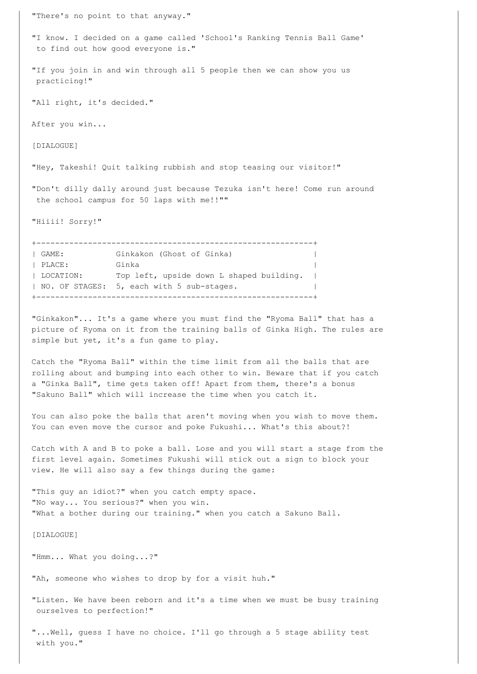"There's no point to that anyway."

"I know. I decided on a game called 'School's Ranking Tennis Ball Game' to find out how good everyone is."

"If you join in and win through all 5 people then we can show you us practicing!"

"All right, it's decided."

After you win...

[DIALOGUE]

"Hey, Takeshi! Quit talking rubbish and stop teasing our visitor!"

"Don't dilly dally around just because Tezuka isn't here! Come run around the school campus for 50 laps with me!!""

"Hiiii! Sorry!"

+-----------------------------------------------------------+ | GAME: Ginkakon (Ghost of Ginka) | | PLACE: Ginka | LOCATION: Top left, upside down L shaped building. | | NO. OF STAGES: 5, each with 5 sub-stages. +-----------------------------------------------------------+

"Ginkakon"... It's a game where you must find the "Ryoma Ball" that has a picture of Ryoma on it from the training balls of Ginka High. The rules are simple but yet, it's a fun game to play.

Catch the "Ryoma Ball" within the time limit from all the balls that are rolling about and bumping into each other to win. Beware that if you catch a "Ginka Ball", time gets taken off! Apart from them, there's a bonus "Sakuno Ball" which will increase the time when you catch it.

You can also poke the balls that aren't moving when you wish to move them. You can even move the cursor and poke Fukushi... What's this about?!

Catch with A and B to poke a ball. Lose and you will start a stage from the first level again. Sometimes Fukushi will stick out a sign to block your view. He will also say a few things during the game:

"This guy an idiot?" when you catch empty space. "No way... You serious?" when you win. "What a bother during our training." when you catch a Sakuno Ball.

[DIALOGUE]

"Hmm... What you doing...?"

"Ah, someone who wishes to drop by for a visit huh."

"Listen. We have been reborn and it's a time when we must be busy training ourselves to perfection!"

"...Well, guess I have no choice. I'll go through a 5 stage ability test with you."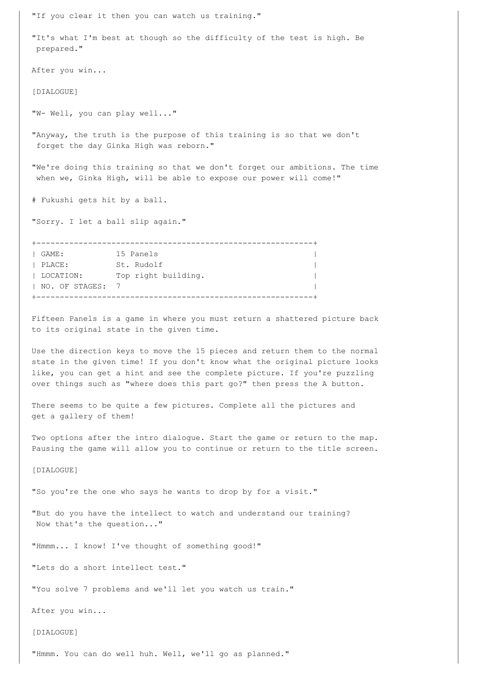"If you clear it then you can watch us training." "It's what I'm best at though so the difficulty of the test is high. Be prepared." After you win... [DIALOGUE] "W- Well, you can play well..." "Anyway, the truth is the purpose of this training is so that we don't forget the day Ginka High was reborn." "We're doing this training so that we don't forget our ambitions. The time when we, Ginka High, will be able to expose our power will come!" # Fukushi gets hit by a ball. "Sorry. I let a ball slip again." +-----------------------------------------------------------+ | GAME: 15 Panels | | PLACE: St. Rudolf | | LOCATION: Top right building. |

Fifteen Panels is a game in where you must return a shattered picture back to its original state in the given time.

| NO. OF STAGES: 7 | +-----------------------------------------------------------+

Use the direction keys to move the 15 pieces and return them to the normal state in the given time! If you don't know what the original picture looks like, you can get a hint and see the complete picture. If you're puzzling over things such as "where does this part go?" then press the A button.

There seems to be quite a few pictures. Complete all the pictures and get a gallery of them!

Two options after the intro dialogue. Start the game or return to the map. Pausing the game will allow you to continue or return to the title screen.

[DIALOGUE]

"So you're the one who says he wants to drop by for a visit."

"But do you have the intellect to watch and understand our training? Now that's the question..."

"Hmmm... I know! I've thought of something good!"

"Lets do a short intellect test."

"You solve 7 problems and we'll let you watch us train."

After you win...

[DIALOGUE]

"Hmmm. You can do well huh. Well, we'll go as planned."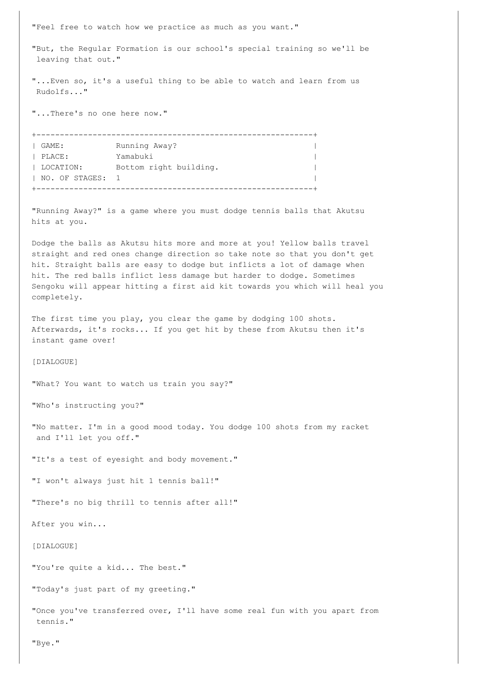"Feel free to watch how we practice as much as you want."

"But, the Regular Formation is our school's special training so we'll be leaving that out."

"...Even so, it's a useful thing to be able to watch and learn from us Rudolfs..."

"...There's no one here now."

+-----------------------------------------------------------+ | GAME: Running Away? | | PLACE: Yamabuki | | LOCATION: Bottom right building. | NO. OF STAGES: 1 +-----------------------------------------------------------+

"Running Away?" is a game where you must dodge tennis balls that Akutsu hits at you.

Dodge the balls as Akutsu hits more and more at you! Yellow balls travel straight and red ones change direction so take note so that you don't get hit. Straight balls are easy to dodge but inflicts a lot of damage when hit. The red balls inflict less damage but harder to dodge. Sometimes Sengoku will appear hitting a first aid kit towards you which will heal you completely.

The first time you play, you clear the game by dodging 100 shots. Afterwards, it's rocks... If you get hit by these from Akutsu then it's instant game over!

[DIALOGUE]

"What? You want to watch us train you say?"

"Who's instructing you?"

"No matter. I'm in a good mood today. You dodge 100 shots from my racket and I'll let you off."

"It's a test of eyesight and body movement."

"I won't always just hit 1 tennis ball!"

"There's no big thrill to tennis after all!"

After you win...

[DIALOGUE]

"You're quite a kid... The best."

"Today's just part of my greeting."

"Once you've transferred over, I'll have some real fun with you apart from tennis."

"Bye."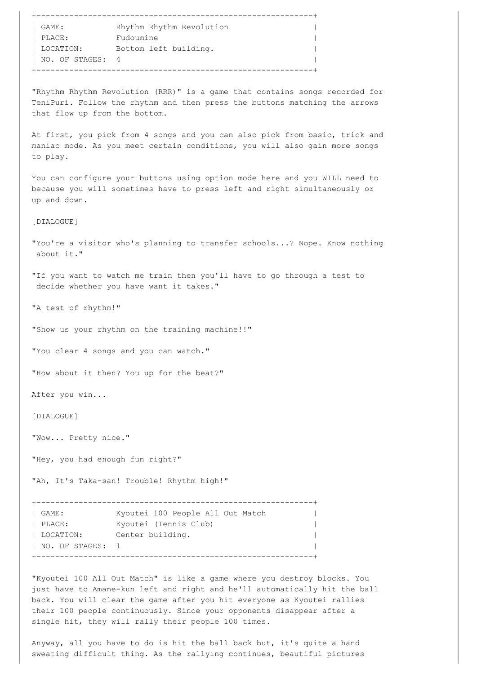| ______________     | -----------------        |  |
|--------------------|--------------------------|--|
| $\vdash$ GAME:     | Rhythm Rhythm Revolution |  |
| PLACE:             | Fudoumine                |  |
| LOCATION:          | Bottom left building.    |  |
| I NO. OF STAGES: 4 |                          |  |
|                    |                          |  |

"Rhythm Rhythm Revolution (RRR)" is a game that contains songs recorded for TeniPuri. Follow the rhythm and then press the buttons matching the arrows that flow up from the bottom.

At first, you pick from 4 songs and you can also pick from basic, trick and maniac mode. As you meet certain conditions, you will also gain more songs to play.

You can configure your buttons using option mode here and you WILL need to because you will sometimes have to press left and right simultaneously or up and down.

[DIALOGUE]

"You're a visitor who's planning to transfer schools...? Nope. Know nothing about it."

"If you want to watch me train then you'll have to go through a test to decide whether you have want it takes."

"A test of rhythm!"

"Show us your rhythm on the training machine!!"

"You clear 4 songs and you can watch."

"How about it then? You up for the beat?"

After you win...

[DIALOGUE]

"Wow... Pretty nice."

"Hey, you had enough fun right?"

"Ah, It's Taka-san! Trouble! Rhythm high!"

+-----------------------------------------------------------+ | GAME: Kyoutei 100 People All Out Match | | PLACE: Kyoutei (Tennis Club) | |<br>| LOCATION: Center building. |  $|$  NO. OF STAGES: 1 +-----------------------------------------------------------+

"Kyoutei 100 All Out Match" is like a game where you destroy blocks. You just have to Amane-kun left and right and he'll automatically hit the ball back. You will clear the game after you hit everyone as Kyoutei rallies their 100 people continuously. Since your opponents disappear after a single hit, they will rally their people 100 times.

Anyway, all you have to do is hit the ball back but, it's quite a hand sweating difficult thing. As the rallying continues, beautiful pictures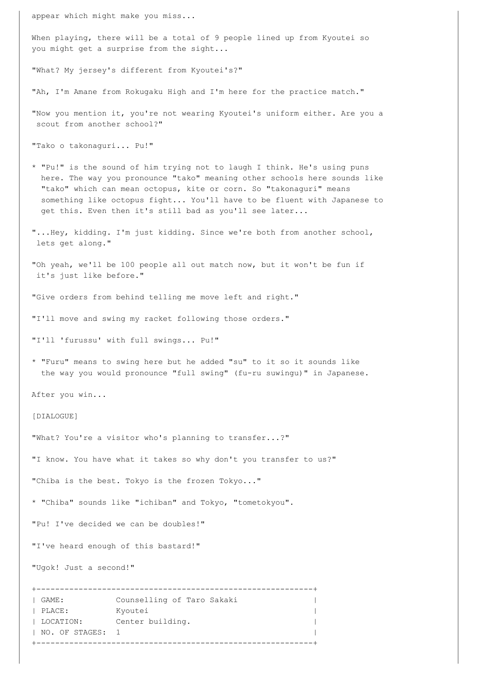appear which might make you miss...

When playing, there will be a total of 9 people lined up from Kyoutei so you might get a surprise from the sight...

"What? My jersey's different from Kyoutei's?"

"Ah, I'm Amane from Rokugaku High and I'm here for the practice match."

"Now you mention it, you're not wearing Kyoutei's uniform either. Are you a scout from another school?"

"Tako o takonaguri... Pu!"

- \* "Pu!" is the sound of him trying not to laugh I think. He's using puns here. The way you pronounce "tako" meaning other schools here sounds like "tako" which can mean octopus, kite or corn. So "takonaguri" means something like octopus fight... You'll have to be fluent with Japanese to get this. Even then it's still bad as you'll see later...
- "...Hey, kidding. I'm just kidding. Since we're both from another school, lets get along."

"Oh yeah, we'll be 100 people all out match now, but it won't be fun if it's just like before."

"Give orders from behind telling me move left and right."

"I'll move and swing my racket following those orders."

"I'll 'furussu' with full swings... Pu!"

\* "Furu" means to swing here but he added "su" to it so it sounds like the way you would pronounce "full swing" (fu-ru suwingu)" in Japanese.

After you win...

[DIALOGUE]

"What? You're a visitor who's planning to transfer...?"

"I know. You have what it takes so why don't you transfer to us?"

"Chiba is the best. Tokyo is the frozen Tokyo..."

\* "Chiba" sounds like "ichiban" and Tokyo, "tometokyou".

"Pu! I've decided we can be doubles!"

"I've heard enough of this bastard!"

"Ugok! Just a second!"

+-----------------------------------------------------------+ | GAME: Counselling of Taro Sakaki | | PLACE: Kyoutei | | LOCATION: Center building. | NO. OF STAGES: 1

+-----------------------------------------------------------+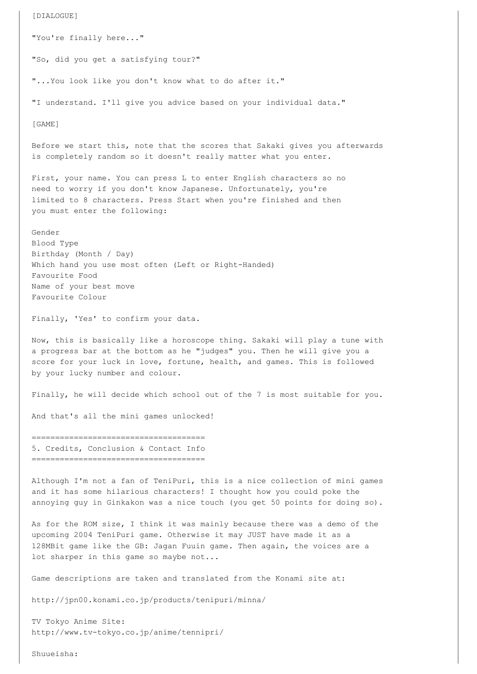[DIALOGUE] "You're finally here..." "So, did you get a satisfying tour?" "...You look like you don't know what to do after it." "I understand. I'll give you advice based on your individual data." [GAME] Before we start this, note that the scores that Sakaki gives you afterwards is completely random so it doesn't really matter what you enter. First, your name. You can press L to enter English characters so no need to worry if you don't know Japanese. Unfortunately, you're limited to 8 characters. Press Start when you're finished and then you must enter the following: Gender Blood Type Birthday (Month / Day) Which hand you use most often (Left or Right-Handed) Favourite Food Name of your best move Favourite Colour Finally, 'Yes' to confirm your data. Now, this is basically like a horoscope thing. Sakaki will play a tune with a progress bar at the bottom as he "judges" you. Then he will give you a score for your luck in love, fortune, health, and games. This is followed by your lucky number and colour. Finally, he will decide which school out of the 7 is most suitable for you. And that's all the mini games unlocked! ===================================== 5. Credits, Conclusion & Contact Info ===================================== Although I'm not a fan of TeniPuri, this is a nice collection of mini games and it has some hilarious characters! I thought how you could poke the annoying guy in Ginkakon was a nice touch (you get 50 points for doing so). As for the ROM size, I think it was mainly because there was a demo of the upcoming 2004 TeniPuri game. Otherwise it may JUST have made it as a 128MBit game like the GB: Jagan Fuuin game. Then again, the voices are a lot sharper in this game so maybe not... Game descriptions are taken and translated from the Konami site at:

http://jpn00.konami.co.jp/products/tenipuri/minna/

TV Tokyo Anime Site: http://www.tv-tokyo.co.jp/anime/tennipri/

Shuueisha: